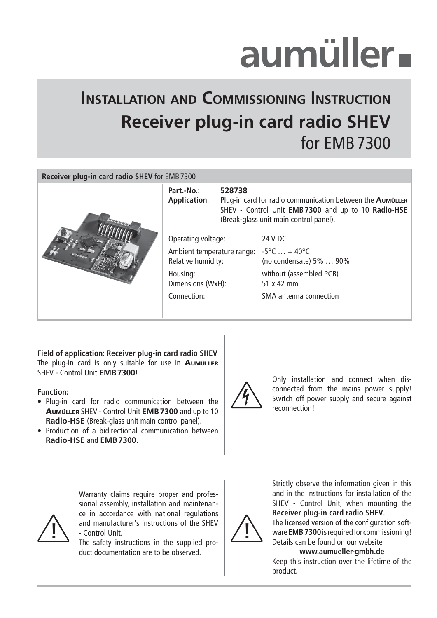# aumüller-

## **INSTALLATION AND COMMISSIONING INSTRUCTION Receiver plug-in card radio SHEV**  for EMB 7300

#### **Receiver plug-in card radio SHEV** for EMB 7300

|  | Part.-No.:<br>528738<br><b>Application:</b><br>Plug-in card for radio communication between the AUMÜLLER<br>SHEV - Control Unit EMB 7300 and up to 10 Radio-HSE<br>(Break-glass unit main control panel). |  |                                              |
|--|-----------------------------------------------------------------------------------------------------------------------------------------------------------------------------------------------------------|--|----------------------------------------------|
|  | Operating voltage:                                                                                                                                                                                        |  | 24 V DC                                      |
|  | Ambient temperature range: $-5^{\circ}$ C  + 40°C<br>Relative humidity:                                                                                                                                   |  | (no condensate) 5%  90%                      |
|  | Housing:<br>Dimensions (WxH):                                                                                                                                                                             |  | without (assembled PCB)<br>$51 \times 42$ mm |
|  | Connection:                                                                                                                                                                                               |  | SMA antenna connection                       |
|  |                                                                                                                                                                                                           |  |                                              |

**Field of application: Receiver plug-in card radio SHEV** The plug-in card is only suitable for use in **AUMÜLLER** SHEV - Control Unit **EMB 7300**!

#### **Function:**

- Plug-in card for radio communication between the AUMÜLLER SHEV - Control Unit **EMB 7300** and up to 10 **Radio-HSE** (Break-glass unit main control panel).
- Production of a bidirectional communication between **Radio-HSE** and **EMB 7300**.



Only installation and connect when disconnected from the mains power supply! Switch off power supply and secure against reconnection!

and manufacturer's instructions of the SHEV<br>The safety instructions in the sumplied pro-Warranty claims require proper and professional assembly, installation and maintenance in accordance with national regulations - Control Unit.

The safety instructions in the supplied product documentation are to be observed.



Strictly observe the information given in this and in the instructions for installation of the SHEV - Control Unit, when mounting the **Receiver plug-in card radio SHEV**.

The licensed version of the configuration software **EMB 7300** is required for commissioning! Details can be found on our website

#### **www.aumueller-gmbh.de**

Keep this instruction over the lifetime of the product.